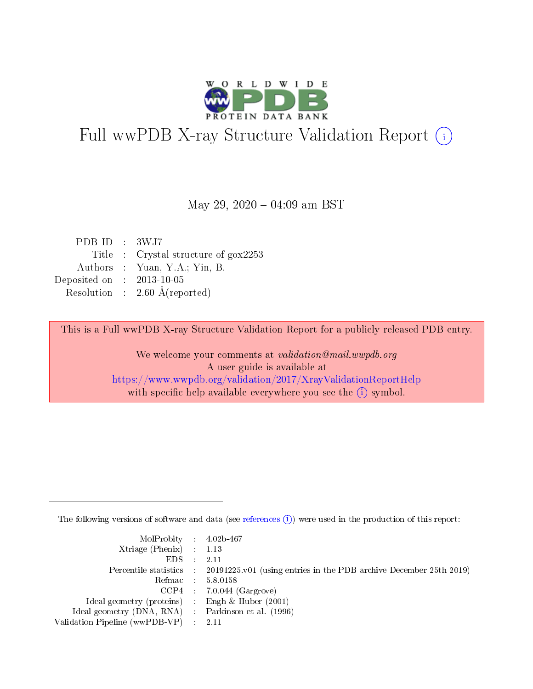

# Full wwPDB X-ray Structure Validation Report (i)

May 29,  $2020 - 04:09$  am BST

| PDBID : 3WJ7                |                                                  |
|-----------------------------|--------------------------------------------------|
|                             | Title : Crystal structure of $g_{\text{OX}}2253$ |
|                             | Authors : Yuan, Y.A.; Yin, B.                    |
| Deposited on : $2013-10-05$ |                                                  |
|                             | Resolution : $2.60 \text{ Å}$ (reported)         |
|                             |                                                  |

This is a Full wwPDB X-ray Structure Validation Report for a publicly released PDB entry.

We welcome your comments at validation@mail.wwpdb.org A user guide is available at <https://www.wwpdb.org/validation/2017/XrayValidationReportHelp> with specific help available everywhere you see the  $(i)$  symbol.

The following versions of software and data (see [references](https://www.wwpdb.org/validation/2017/XrayValidationReportHelp#references)  $(i)$ ) were used in the production of this report:

| MolProbity : $4.02b-467$                           |                                                                                            |
|----------------------------------------------------|--------------------------------------------------------------------------------------------|
| Xtriage (Phenix) $: 1.13$                          |                                                                                            |
| EDS :                                              | -2.11                                                                                      |
|                                                    | Percentile statistics : 20191225.v01 (using entries in the PDB archive December 25th 2019) |
|                                                    | Refmac 5.8.0158                                                                            |
|                                                    | $CCP4$ : 7.0.044 (Gargrove)                                                                |
| Ideal geometry (proteins) : Engh $\&$ Huber (2001) |                                                                                            |
| Ideal geometry (DNA, RNA) Parkinson et al. (1996)  |                                                                                            |
| Validation Pipeline (wwPDB-VP) : 2.11              |                                                                                            |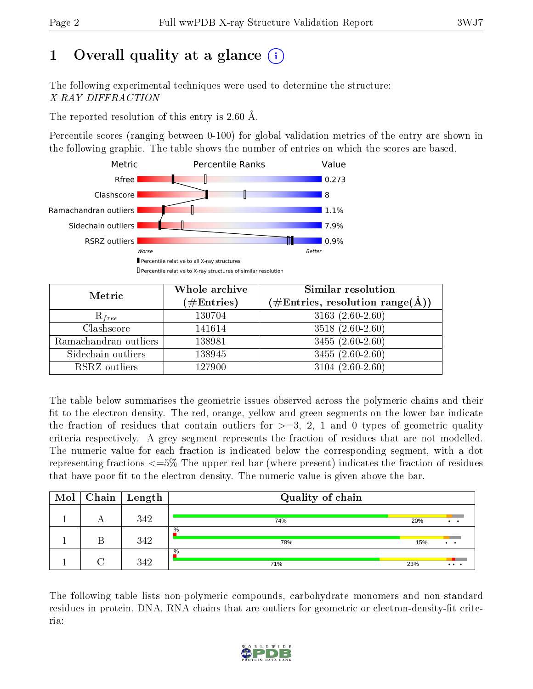# 1 [O](https://www.wwpdb.org/validation/2017/XrayValidationReportHelp#overall_quality)verall quality at a glance  $(i)$

The following experimental techniques were used to determine the structure: X-RAY DIFFRACTION

The reported resolution of this entry is  $2.60 \text{ Å}.$ 

Percentile scores (ranging between 0-100) for global validation metrics of the entry are shown in the following graphic. The table shows the number of entries on which the scores are based.



| Metric                | Whole archive<br>$(\#\text{Entries})$ | Similar resolution<br>$(\#\text{Entries},\, \text{resolution}\; \text{range}(\textup{\AA}))$ |  |
|-----------------------|---------------------------------------|----------------------------------------------------------------------------------------------|--|
| $R_{free}$            | 130704                                | $3163(2.60-2.60)$                                                                            |  |
| Clashscore            | 141614                                | $3518(2.60-2.60)$                                                                            |  |
| Ramachandran outliers | 138981                                | $3455(2.60-2.60)$                                                                            |  |
| Sidechain outliers    | 138945                                | $3455(2.60-2.60)$                                                                            |  |
| RSRZ outliers         | 127900                                | $3104(2.60-2.60)$                                                                            |  |

The table below summarises the geometric issues observed across the polymeric chains and their fit to the electron density. The red, orange, yellow and green segments on the lower bar indicate the fraction of residues that contain outliers for  $>=3, 2, 1$  and 0 types of geometric quality criteria respectively. A grey segment represents the fraction of residues that are not modelled. The numeric value for each fraction is indicated below the corresponding segment, with a dot representing fractions <=5% The upper red bar (where present) indicates the fraction of residues that have poor fit to the electron density. The numeric value is given above the bar.

| Mol |   | Chain   Length | Quality of chain |     |                        |
|-----|---|----------------|------------------|-----|------------------------|
|     | n | 342            | 74%              | 20% | $\cdot$ $\cdot$        |
|     |   | 342            | $\%$<br>78%      | 15% | $\bullet\qquad\bullet$ |
|     |   | 342            | $\%$<br>71%      | 23% | $\cdots$               |

The following table lists non-polymeric compounds, carbohydrate monomers and non-standard residues in protein, DNA, RNA chains that are outliers for geometric or electron-density-fit criteria:

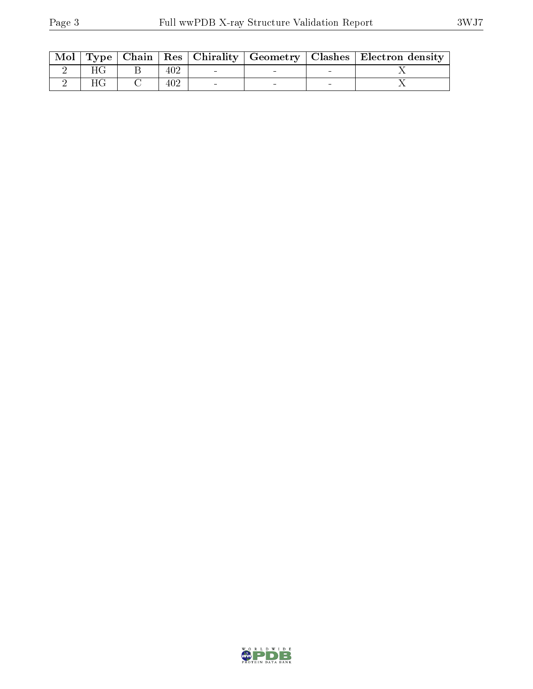|  |     |  | Mol   Type   Chain   Res   Chirality   Geometry   Clashes   Electron density |
|--|-----|--|------------------------------------------------------------------------------|
|  | 402 |  |                                                                              |
|  |     |  |                                                                              |

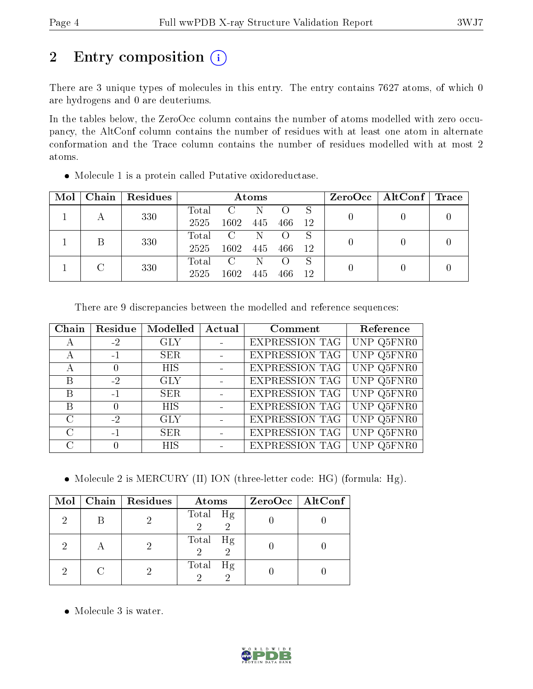## 2 Entry composition (i)

There are 3 unique types of molecules in this entry. The entry contains 7627 atoms, of which 0 are hydrogens and 0 are deuteriums.

In the tables below, the ZeroOcc column contains the number of atoms modelled with zero occupancy, the AltConf column contains the number of residues with at least one atom in alternate conformation and the Trace column contains the number of residues modelled with at most 2 atoms.

| • Molecule 1 is a protein called Putative oxidoreductase. |
|-----------------------------------------------------------|
|-----------------------------------------------------------|

| Mol | Chain | Residues | Atoms |               |     |     |     | $ZeroOcc \mid AltConf \mid Trace \mid$ |  |  |
|-----|-------|----------|-------|---------------|-----|-----|-----|----------------------------------------|--|--|
|     |       | 330      | Total | $\mathcal{C}$ |     |     |     |                                        |  |  |
|     |       |          | 2525  | 1602          | 445 | 466 | 12  |                                        |  |  |
|     |       | 330      | Total | $\mathcal{C}$ |     |     |     |                                        |  |  |
|     |       |          | 2525  | 1602          | 445 | 466 | -12 |                                        |  |  |
|     |       | 330      | Total | $\mathcal{C}$ |     |     | S   |                                        |  |  |
|     |       |          | 2525  | 1602          | 445 | 466 | 12  |                                        |  |  |

There are 9 discrepancies between the modelled and reference sequences:

| Chain         | Residue | Modelled   | Actual | Comment               | Reference  |
|---------------|---------|------------|--------|-----------------------|------------|
| А             | $-2$    | <b>GLY</b> |        | <b>EXPRESSION TAG</b> | UNP Q5FNR0 |
| А             | $-1$    | <b>SER</b> | $\sim$ | <b>EXPRESSION TAG</b> | UNP Q5FNR0 |
| А             |         | <b>HIS</b> |        | <b>EXPRESSION TAG</b> | UNP Q5FNR0 |
| Β             | $-2$    | <b>GLY</b> |        | <b>EXPRESSION TAG</b> | UNP Q5FNR0 |
| B             | $-1$    | <b>SER</b> |        | <b>EXPRESSION TAG</b> | UNP Q5FNR0 |
| B             |         | <b>HIS</b> |        | <b>EXPRESSION TAG</b> | UNP Q5FNR0 |
| $\mathcal{C}$ | $-2$    | <b>GLY</b> |        | <b>EXPRESSION TAG</b> | UNP Q5FNR0 |
| $\mathcal{C}$ | $-1$    | <b>SER</b> |        | <b>EXPRESSION TAG</b> | UNP Q5FNR0 |
| C             |         | <b>HIS</b> |        | <b>EXPRESSION TAG</b> | UNP Q5FNR0 |

• Molecule 2 is MERCURY (II) ION (three-letter code: HG) (formula: Hg).

|  | $Mol$   Chain   Residues | <b>Atoms</b>               | $ZeroOcc \   \ AltConf \  $ |
|--|--------------------------|----------------------------|-----------------------------|
|  |                          | Total Hg<br>$\overline{2}$ |                             |
|  |                          | Total Hg                   |                             |
|  |                          | Total<br>Hg                |                             |

• Molecule 3 is water.

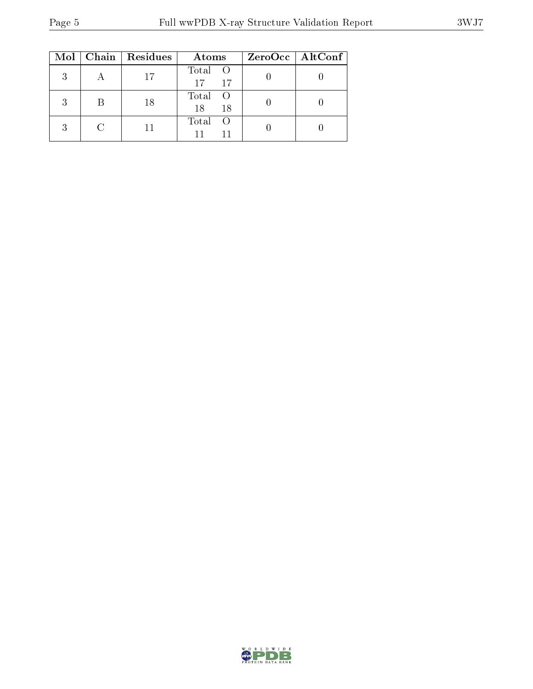|   | $Mol$   Chain   Residues | Atoms               | ZeroOcc   AltConf |
|---|--------------------------|---------------------|-------------------|
| 3 | 17                       | Total O<br>17<br>17 |                   |
| 2 | 18                       | Total O<br>18<br>18 |                   |
| 3 |                          | Total               |                   |

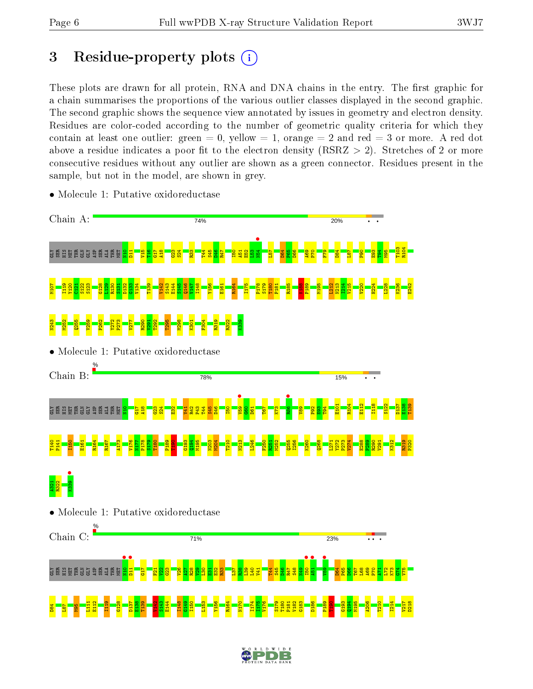## 3 Residue-property plots  $(i)$

These plots are drawn for all protein, RNA and DNA chains in the entry. The first graphic for a chain summarises the proportions of the various outlier classes displayed in the second graphic. The second graphic shows the sequence view annotated by issues in geometry and electron density. Residues are color-coded according to the number of geometric quality criteria for which they contain at least one outlier: green  $= 0$ , yellow  $= 1$ , orange  $= 2$  and red  $= 3$  or more. A red dot above a residue indicates a poor fit to the electron density (RSRZ  $> 2$ ). Stretches of 2 or more consecutive residues without any outlier are shown as a green connector. Residues present in the sample, but not in the model, are shown in grey.



• Molecule 1: Putative oxidoreductase

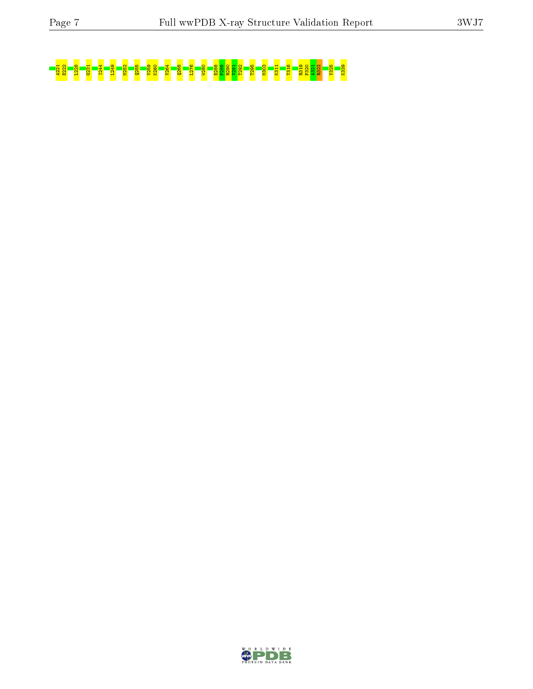# A221 E222 L228 G231 I244 L249 M252 Q255 V259 K260 V264 Q268 L276 W280 E288 P289 R290 V291 T292 T295 M303 K311 Y316 R319 P320 A321 R322 V325 K339

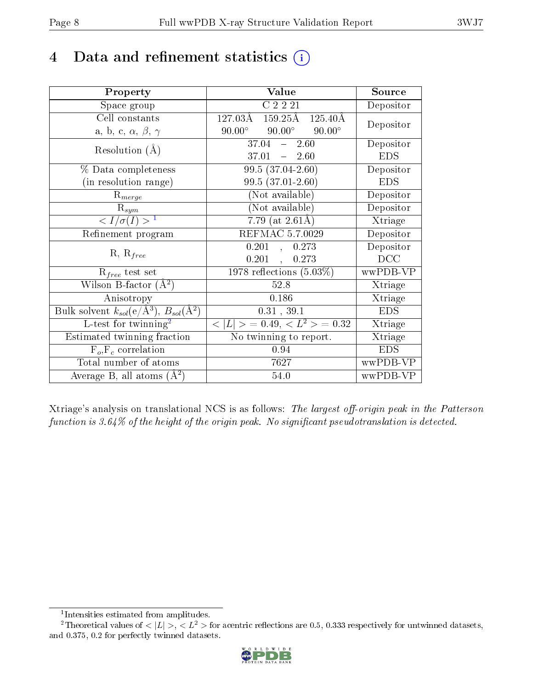## 4 Data and refinement statistics  $(i)$

| Property                                                                | Value                                               | Source     |
|-------------------------------------------------------------------------|-----------------------------------------------------|------------|
| Space group                                                             | C2221                                               | Depositor  |
| Cell constants                                                          | 127.03Å<br>$159.25\text{\AA}$<br>$125.40\text{\AA}$ | Depositor  |
| a, b, c, $\alpha$ , $\beta$ , $\gamma$                                  | $90.00^\circ$<br>$90.00^{\circ}$<br>$90.00^\circ$   |            |
| Resolution $(A)$                                                        | $37.04 - 2.60$                                      | Depositor  |
|                                                                         | $37.01 - 2.60$                                      | <b>EDS</b> |
| % Data completeness                                                     | $99.5(37.04-2.60)$                                  | Depositor  |
| (in resolution range)                                                   | 99.5 (37.01-2.60)                                   | <b>EDS</b> |
| $R_{merge}$                                                             | (Not available)                                     | Depositor  |
| $\mathrm{R}_{sym}$                                                      | (Not available)                                     | Depositor  |
| $\langle I/\sigma(I) \rangle^{-1}$                                      | 7.79 (at $2.61\text{\AA}$ )                         | Xtriage    |
| Refinement program                                                      | REFMAC 5.7.0029                                     | Depositor  |
| $R, R_{free}$                                                           | 0.201,<br>0.273                                     | Depositor  |
|                                                                         | 0.201,<br>0.273                                     | DCC        |
| $\mathcal{R}_{free}$ test set                                           | $1978$ reflections $(5.03\%)$                       | wwPDB-VP   |
| Wilson B-factor $(A^2)$                                                 | 52.8                                                | Xtriage    |
| Anisotropy                                                              | 0.186                                               | Xtriage    |
| Bulk solvent $k_{sol}(\mathrm{e}/\mathrm{A}^3),\,B_{sol}(\mathrm{A}^2)$ | 0.31, 39.1                                          | <b>EDS</b> |
| L-test for twinning <sup>2</sup>                                        | $< L >$ = 0.49, $< L2$ > = 0.32                     | Xtriage    |
| Estimated twinning fraction                                             | No twinning to report.                              | Xtriage    |
| $F_o, F_c$ correlation                                                  | 0.94                                                | <b>EDS</b> |
| Total number of atoms                                                   | 7627                                                | wwPDB-VP   |
| Average B, all atoms $(A^2)$                                            | 54.0                                                | wwPDB-VP   |

Xtriage's analysis on translational NCS is as follows: The largest off-origin peak in the Patterson function is  $3.64\%$  of the height of the origin peak. No significant pseudotranslation is detected.

<sup>&</sup>lt;sup>2</sup>Theoretical values of  $\langle |L| \rangle$ ,  $\langle L^2 \rangle$  for acentric reflections are 0.5, 0.333 respectively for untwinned datasets, and 0.375, 0.2 for perfectly twinned datasets.



<span id="page-7-1"></span><span id="page-7-0"></span><sup>1</sup> Intensities estimated from amplitudes.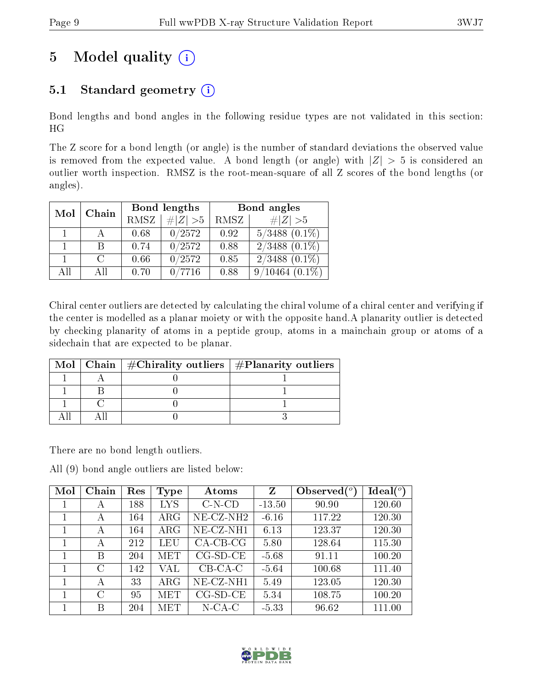# 5 Model quality  $(i)$

## 5.1 Standard geometry  $(i)$

Bond lengths and bond angles in the following residue types are not validated in this section: HG

The Z score for a bond length (or angle) is the number of standard deviations the observed value is removed from the expected value. A bond length (or angle) with  $|Z| > 5$  is considered an outlier worth inspection. RMSZ is the root-mean-square of all Z scores of the bond lengths (or angles).

| Mol | Chain  |             | Bond lengths | Bond angles |                    |  |
|-----|--------|-------------|--------------|-------------|--------------------|--|
|     |        | <b>RMSZ</b> | $\# Z  > 5$  | <b>RMSZ</b> | $\ Z\  > 5$        |  |
|     |        | 0.68        | 0/2572       | 0.92        | $5/3488$ $(0.1\%)$ |  |
|     |        | 0.74        | 0/2572       | 0.88        | $2/3488$ $(0.1\%)$ |  |
|     | $\cap$ | 0.66        | 0/2572       | 0.85        | $2/3488$ $(0.1\%)$ |  |
| АH  | A II   | 0.70        |              | 0.88        | /10464             |  |

Chiral center outliers are detected by calculating the chiral volume of a chiral center and verifying if the center is modelled as a planar moiety or with the opposite hand.A planarity outlier is detected by checking planarity of atoms in a peptide group, atoms in a mainchain group or atoms of a sidechain that are expected to be planar.

|  | Mol   Chain   $\#\text{Chirality outliers}$   $\#\text{Planarity outliers}$ |
|--|-----------------------------------------------------------------------------|
|  |                                                                             |
|  |                                                                             |
|  |                                                                             |
|  |                                                                             |

There are no bond length outliers.

All (9) bond angle outliers are listed below:

| Mol | Chain | Res | Type       | Atoms        | Z        | Observed $\binom{o}{c}$ | Ideal (°) |
|-----|-------|-----|------------|--------------|----------|-------------------------|-----------|
| 1   | А     | 188 | <b>LYS</b> | $C-N-CD$     | $-13.50$ | 90.90                   | 120.60    |
|     | А     | 164 | $\rm{ARG}$ | NE-CZ-NH2    | $-6.16$  | 117.22                  | 120.30    |
|     | А     | 164 | $\rm{ARG}$ | $NE- CZ-NH1$ | 6.13     | 123.37                  | 120.30    |
| 1   | А     | 212 | LEU        | $CA-CB-CG$   | 5.80     | 128.64                  | 115.30    |
|     | B     | 204 | MET        | $CG-SD-CE$   | $-5.68$  | 91.11                   | 100.20    |
|     | C     | 142 | VAL        | $CB-CA-C$    | $-5.64$  | 100.68                  | 111.40    |
| 1   | А     | 33  | $\rm{ARG}$ | $NE-CZ-NH1$  | 5.49     | 123.05                  | 120.30    |
|     | C     | 95  | MET        | $CG-SD-CE$   | 5.34     | 108.75                  | 100.20    |
|     | В     | 204 | MET        | $N$ -CA-C    | $-5.33$  | 96.62                   | 111.00    |

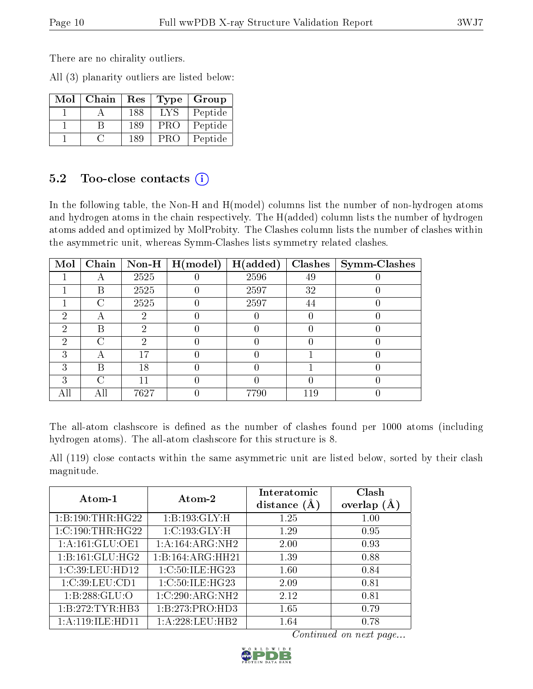There are no chirality outliers.

All (3) planarity outliers are listed below:

| Mol | Chain | Res | Type | Group   |
|-----|-------|-----|------|---------|
|     |       | 188 | IYS  | Peptide |
|     |       | 189 | PRO  | Peptide |
|     |       | 189 | PRC  | Peptide |

#### 5.2 Too-close contacts  $(i)$

In the following table, the Non-H and H(model) columns list the number of non-hydrogen atoms and hydrogen atoms in the chain respectively. The H(added) column lists the number of hydrogen atoms added and optimized by MolProbity. The Clashes column lists the number of clashes within the asymmetric unit, whereas Symm-Clashes lists symmetry related clashes.

| Mol           |   |      | Chain   Non-H   $H (model)$ | H(added) |      | $\textbf{Class} \mid \textbf{Symm-Class}$ |
|---------------|---|------|-----------------------------|----------|------|-------------------------------------------|
|               |   | 2525 |                             | 2596     | 49   |                                           |
|               | В | 2525 |                             | 2597     | 32   |                                           |
|               | ⊖ | 2525 |                             | 2597     | 44   |                                           |
| $\mathcal{D}$ |   | ٠,   |                             |          |      |                                           |
| റ             | B | റ    |                             |          |      |                                           |
| 2             | C | 6)   |                             |          |      |                                           |
| 3             |   | 17   |                             |          |      |                                           |
| 3             | В | 18   |                             |          |      |                                           |
| 3             | C |      |                             |          |      |                                           |
|               |   | 7627 |                             | 7790     | l 19 |                                           |

The all-atom clashscore is defined as the number of clashes found per 1000 atoms (including hydrogen atoms). The all-atom clashscore for this structure is 8.

All (119) close contacts within the same asymmetric unit are listed below, sorted by their clash magnitude.

| Atom-1           | Atom-2           | Interatomic<br>distance $(A)$ | Clash<br>overlap $(A)$ |
|------------------|------------------|-------------------------------|------------------------|
| 1:B:190:THR:HG22 | 1:B:193:GLY:H    | 1.25                          | 1.00                   |
| 1:C:190:THR:HG22 | 1:C:193:GLY:H    | 1.29                          | 0.95                   |
| 1:A:161:GLU:OE1  | 1:A:164:ARG:NH2  | 2.00                          | 0.93                   |
| 1:B:161:GLU:HG2  | 1:B:164:ARG:HH21 | 1.39                          | 0.88                   |
| 1:C:39:LEU:HD12  | 1:C:50:ILE:HG23  | 1.60                          | 0.84                   |
| 1:C:39:LEU:CD1   | 1:C:50:ILE:HG23  | 2.09                          | 0.81                   |
| 1: B: 288: GLU:O | 1:C:290:ARG:NH2  | 2.12                          | 0.81                   |
| 1:B:272:TYR:HB3  | 1:B:273:PRO:HD3  | 1.65                          | 0.79                   |
| 1:A:119:ILE:HDI1 | 1:A:228:LEU:HB2  | 1.64                          | 0.78                   |

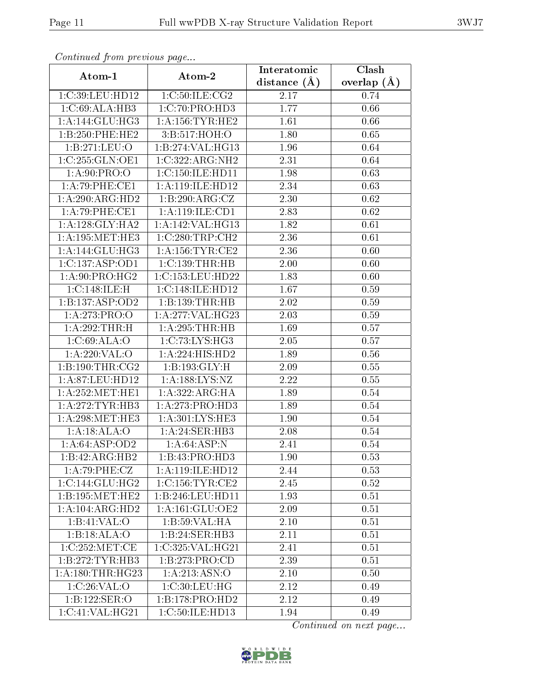| сонинией јтот ртеvноиз раде<br>Clash<br>Interatomic |                                      |                |                   |  |
|-----------------------------------------------------|--------------------------------------|----------------|-------------------|--|
| Atom-1                                              | Atom-2                               | distance $(A)$ | overlap $(A)$     |  |
| 1:C:39:LEU:HD12                                     | 1:C:50:ILE:CG2                       | 2.17           | 0.74              |  |
| 1:C:69:ALA:HB3                                      | 1:C:70:PRO:H <sub>D3</sub>           | 1.77           | 0.66              |  |
| 1:A:144:GLU:HG3                                     | 1: A: 156: TYR: HE2                  | 1.61           | 0.66              |  |
| 1:B:250:PHE:HE2                                     | 3:B:517:HOH:O                        | 1.80           | 0.65              |  |
| 1:B:271:LEU:O                                       | $1:B:274:\overline{\text{VAL}:HG13}$ | 1.96           | 0.64              |  |
| 1:C:255:GLN:OE1                                     | 1:C:322:ARG:NH2                      | 2.31           | 0.64              |  |
| 1: A:90: PRO:O                                      | 1:C:150:ILE:HD11                     | 1.98           | 0.63              |  |
| 1:A:79:PHE:CE1                                      | 1:A:119:ILE:HD12                     | 2.34           | 0.63              |  |
| 1:A:290:ARG:HD2                                     | 1:B:290:ARG:CZ                       | 2.30           | 0.62              |  |
| 1:A:79:PHE:CE1                                      | 1:A:119:ILE:CD1                      | 2.83           | 0.62              |  |
| $1:A:128:GLY:H\overline{A2}$                        | 1:A:142:VAL:HG13                     | 1.82           | 0.61              |  |
| 1: A:195:MET:HE3                                    | 1:C:280:TRP:CH2                      | 2.36           | 0.61              |  |
| 1:A:144:GLU:HG3                                     | 1: A: 156: TYR: CE2                  | 2.36           | 0.60              |  |
| 1:C:137:ASP:OD1                                     | 1:C:139:THR:HB                       | 2.00           | $\overline{0.60}$ |  |
| 1: A:90: PRO:HG2                                    | 1:C:153:LEU:HD22                     | 1.83           | 0.60              |  |
| 1:C:148:ILE:H                                       | 1:C:148:ILE:HD12                     | 1.67           | 0.59              |  |
| 1:B:137:ASP:OD2                                     | 1:B:139:THR:HB                       | 2.02           | 0.59              |  |
| 1:A:273:PRO:O                                       | 1:A:277:VAL:HG23                     | 2.03           | 0.59              |  |
| 1:A:292:THR:H                                       | 1:A:295:THR:HB                       | 1.69           | 0.57              |  |
| 1:C:69:ALA:O                                        | 1: C: 73: LYS: HG3                   | 2.05           | 0.57              |  |
| 1:A:220:VAL:O                                       | 1:A:224:HIS:HD2                      | 1.89           | 0.56              |  |
| 1: B: 190: THR: CG2                                 | 1:B:193:GLY:H                        | 2.09           | 0.55              |  |
| 1:A:87:LEU:HD12                                     | 1: A: 188: LYS: NZ                   | 2.22           | 0.55              |  |
| 1: A:252:MET:HE1                                    | 1:A:322:ARG:HA                       | 1.89           | $0.54\,$          |  |
| 1:A:272:TYR:HB3                                     | 1:A:273:PRO:HD3                      | 1.89           | 0.54              |  |
| 1: A:298:MET:HE3                                    | 1:A:301:LYS:HE3                      | 1.90           | 0.54              |  |
| 1:A:18:ALA:O                                        | 1:A:24:SER:HB3                       | 2.08           | 0.54              |  |
| 1:A:64:ASP:OD2                                      | 1: A:64: ASP: N                      | 2.41           | 0.54              |  |
| 1:B:42:ARG:HB2                                      | 1:B:43:PRO:HD3                       | 1.90           | 0.53              |  |
| 1:A:79:PHE:CZ                                       | 1:A:119:ILE:HD12                     | 2.44           | 0.53              |  |
| 1:C:144:GLU:HG2                                     | 1:C:156:TYR:CE2                      | 2.45           | 0.52              |  |
| 1:B:195:MET:HE2                                     | 1:B:246:LEU:HD11                     | 1.93           | 0.51              |  |
| 1:A:104:ARG:HD2                                     | 1: A: 161: GLU: OE2                  | 2.09           | 0.51              |  |
| 1:Bi:41:VAL:O                                       | 1:B:59:VAL:HA                        | 2.10           | 0.51              |  |
| 1:B:18:ALA:O                                        | 1:B:24:SER:HB3                       | 2.11           | 0.51              |  |
| 1:C:252:MET:CE                                      | 1:C:325:VAL:HG21                     | 2.41           | 0.51              |  |
| 1:B:272:TYR:HB3                                     | 1:B:273:PRO:CD                       | 2.39           | 0.51              |  |
| 1: A: 180: THR: HG23                                | 1:A:213:ASN:O                        | 2.10           | 0.50              |  |
| 1:C:26:VAL:O                                        | 1: C:30: LEU: HG                     | 2.12           | 0.49              |  |
| 1:B:122:SER:O                                       | 1:B:178:PRO:HD2                      | 2.12           | 0.49              |  |
| 1:C:41:VAL:HG21                                     | 1:C:50:ILE:HD13                      | 1.94           | 0.49              |  |

Continued from previous page.

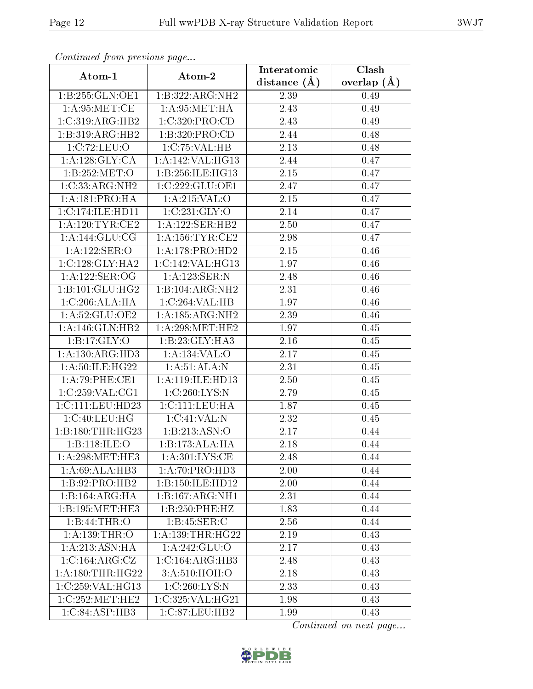| Continuea from previous page |                      | Interatomic       | Clash         |
|------------------------------|----------------------|-------------------|---------------|
| Atom-1                       | Atom-2               | distance $(A)$    | overlap $(A)$ |
| 1:B:255:GLN:OE1              | 1:B:322:ARG:NH2      | 2.39              | 0.49          |
| 1: A:95:MET:CE               | 1:A:95:MET:HA        | 2.43              | 0.49          |
| 1:C:319:ARG:HB2              | 1:C:320:PRO:CD       | 2.43              | 0.49          |
| 1:B:319:ARG:HB2              | 1:B:320:PRO:CD       | 2.44              | 0.48          |
| 1:C:72:LEU:O                 | 1:C:75:VAL:HB        | 2.13              | 0.48          |
| 1: A: 128: GLY: CA           | 1:A:142:VAL:HG13     | 2.44              | 0.47          |
| 1:B:252:MET:O                | 1:B:256:ILE:HG13     | 2.15              | 0.47          |
| 1:C:33:ARG:NH2               | 1:C:222:GLU:OE1      | 2.47              | 0.47          |
| 1: A:181: PRO:HA             | 1:A:215:VAL:O        | $\overline{2.15}$ | 0.47          |
| 1:C:174:ILE:HD11             | 1:C:231:GLY:O        | 2.14              | 0.47          |
| 1: A:120: TYR: CE2           | 1:A:122:SER:HB2      | 2.50              | 0.47          |
| 1:A:144:GLU:CG               | 1: A: 156: TYR: CE2  | 2.98              | 0.47          |
| 1:A:122:SER:O                | 1:A:178:PRO:HD2      | 2.15              | 0.46          |
| 1:C:128:GLY:HA2              | 1:C:142:VAL:HG13     | 1.97              | 0.46          |
| 1:A:122:SER:OG               | 1:A:123:SER:N        | 2.48              | 0.46          |
| 1: B: 101: GLU: HG2          | 1:B:104:ARG:NH2      | 2.31              | 0.46          |
| 1:C:206:ALA:HA               | 1:C:264:VAL:HB       | 1.97              | 0.46          |
| 1:A:52:GLU:OE2               | 1:A:185:ARG:NH2      | 2.39              | 0.46          |
| 1:A:146:GLN:HB2              | 1: A:298:MET:HE2     | $\overline{1}.97$ | 0.45          |
| 1: B: 17: GLY: O             | 1:B:23:GLY:HA3       | 2.16              | $0.45\,$      |
| 1: A: 130: ARG: HD3          | 1:A:134:VAL:O        | 2.17              | 0.45          |
| 1: A:50: ILE: HG22           | 1: A:51: ALA: N      | 2.31              | 0.45          |
| 1:A:79:PHE:CE1               | 1:A:119:ILE:HD13     | 2.50              | 0.45          |
| 1:C:259:VAL:CG1              | 1:C:260:LYS:N        | 2.79              | 0.45          |
| 1:C:111:EU:HD23              | 1: C: 111: LEU: HA   | 1.87              | 0.45          |
| 1:C:40:LEU:HG                | 1:C:41:VAL:N         | 2.32              | 0.45          |
| 1:B:180:THR:HG23             | 1:B:213:ASN:O        | 2.17              | 0.44          |
| 1:B:118:ILE:O                | 1:B:173:ALA:HA       | 2.18              | 0.44          |
| 1: A:298:MET:HE3             | 1: A:301:LYS:CE      | 2.48              | 0.44          |
| 1:A:69:ALA:HB3               | 1:A:70:PRO:HD3       | 2.00              | 0.44          |
| 1:B:92:PRO:HB2               | 1:B:150:ILE:HD12     | 2.00              | 0.44          |
| 1:B:164:ARG:HA               | 1:B:167:ARG:NH1      | 2.31              | 0.44          |
| 1:B:195:MET:HE3              | 1:B:250:PHE:HZ       | 1.83              | 0.44          |
| 1:B:44:THR:O                 | 1: B: 45: SER:C      | 2.56              | 0.44          |
| 1: A: 139: THR: O            | 1: A: 139: THR: HG22 | 2.19              | 0.43          |
| 1: A:213: ASN: HA            | 1: A: 242: GLU:O     | 2.17              | 0.43          |
| 1:C:164:ARG:CZ               | 1:C:164:ARG:HB3      | 2.48              | 0.43          |
| 1: A: 180: THR: HG22         | 3:A:510:HOH:O        | 2.18              | 0.43          |
| 1:C:259:VAL:HG13             | 1:C:260:LYS:N        | 2.33              | 0.43          |
| 1:C:252:MET:HE2              | 1:C:325:VAL:HG21     | 1.98              | 0.43          |
| 1:C:84:ASP:HB3               | 1:C:87:LEU:HB2       | 1.99              | 0.43          |

Continued from previous page.

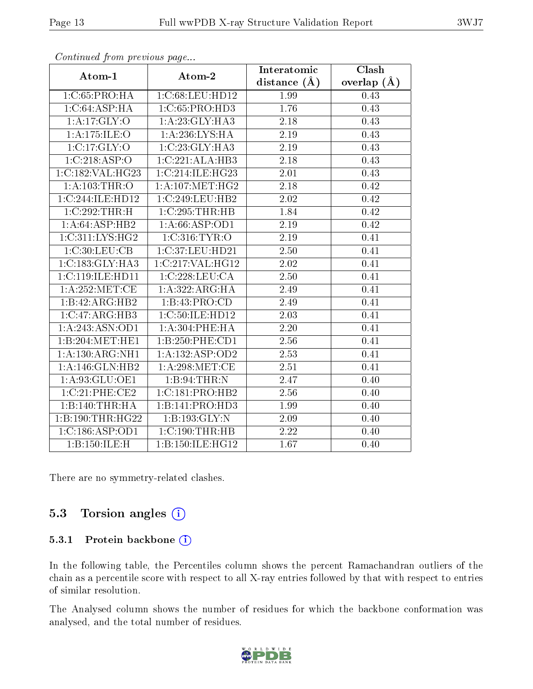| $\sum_{i=1}^{n}$    |                              | Interatomic       | $\overline{\text{Clash}}$ |
|---------------------|------------------------------|-------------------|---------------------------|
| Atom-1              | Atom-2                       | distance $(A)$    | overlap $(A)$             |
| 1:C:65:PRO:HA       | 1:C:68:LEU:HD12              | 1.99              | 0.43                      |
| 1:C:64:ASP:HA       | 1:C:65:PRO:HD3               | 1.76              | 0.43                      |
| 1:A:17:GLY:O        | 1: A:23: GLY:HA3             | 2.18              | 0.43                      |
| 1:A:175:ILE:O       | 1: A:236: LYS: HA            | 2.19              | 0.43                      |
| 1:C:17:GLY:O        | 1:C:23:GLY:HA3               | 2.19              | 0.43                      |
| 1:C:218:ASP:O       | 1:C:221:ALA:HB3              | $2.18\,$          | 0.43                      |
| 1:C:182:VAL:HG23    | 1:C:214:ILE:HG23             | 2.01              | 0.43                      |
| 1: A: 103: THR:O    | 1: A:107: MET:HG2            | 2.18              | 0.42                      |
| 1:C:244:ILE:HD12    | 1:C:249:LEU:HB2              | 2.02              | 0.42                      |
| $1:C:292$ : THR: H  | 1:C:295:THR:HB               | 1.84              | 0.42                      |
| 1:A:64:ASP:HB2      | 1: A:66:ASP:OD1              | 2.19              | 0.42                      |
| 1:C:311:LYS:HG2     | $1: \overline{C:316:TYR:O}$  | 2.19              | 0.41                      |
| 1:C:30:LEU:CB       | 1:C:37:LEU:HD21              | 2.50              | 0.41                      |
| 1:C:183:GLY:HA3     | 1:C:217:VAL:HG12             | 2.02              | 0.41                      |
| 1:C:119:ILE:HD11    | 1:C:228:LEU:CA               | 2.50              | 0.41                      |
| 1: A:252:MET:CE     | 1:A:322:ARG:HA               | 2.49              | 0.41                      |
| 1:B:42:ARG:HB2      | 1:B:43:PRO:CD                | 2.49              | 0.41                      |
| 1:C:47:ARG:HB3      | 1:C:50:ILE:HD12              | 2.03              | 0.41                      |
| 1:A:243:ASN:OD1     | 1: A:304:PHE:HA              | 2.20              | 0.41                      |
| 1:B:204:MET:HE1     | 1:B:250:PHE:CD1              | 2.56              | 0.41                      |
| 1:A:130:ARG:NH1     | 1:A:132:ASP:OD2              | $\overline{2.53}$ | 0.41                      |
| 1:A:146:GLN:HB2     | 1: A:298:MET:CE              | 2.51              | 0.41                      |
| 1:A:93:GLU:OE1      | 1:B:94:THR:N                 | 2.47              | 0.40                      |
| 1:C:21:PHE:CE2      | $1:C:\overline{181:PRO:HB2}$ | 2.56              | 0.40                      |
| 1:B:140:THR:HA      | 1:B:141:PRO:HD3              | 1.99              | 0.40                      |
| 1:B:190:THR:HG22    | 1:B:193:GLY:N                | 2.09              | 0.40                      |
| 1: C: 186: ASP: OD1 | 1:C:190:THR:HB               | 2.22              | 0.40                      |
| 1:B:150:ILE:H       | 1:B:150:ILE:HG12             | 1.67              | 0.40                      |

Continued from previous page...

There are no symmetry-related clashes.

#### 5.3 Torsion angles  $(i)$

#### 5.3.1 Protein backbone (i)

In the following table, the Percentiles column shows the percent Ramachandran outliers of the chain as a percentile score with respect to all X-ray entries followed by that with respect to entries of similar resolution.

The Analysed column shows the number of residues for which the backbone conformation was analysed, and the total number of residues.

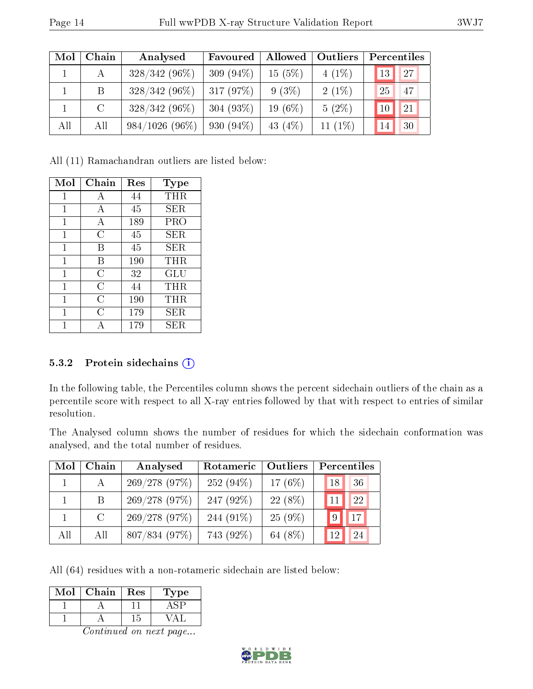| Mol | Chain   | Analysed         | Favoured     | Allowed    | <b>Outliers</b> | Percentiles |
|-----|---------|------------------|--------------|------------|-----------------|-------------|
|     | А       | $328/342(96\%)$  | 309 $(94\%)$ | 15(5%)     | $4(1\%)$        | 27<br>13    |
|     | B       | $328/342(96\%)$  | 317(97%)     | $9(3\%)$   | $2(1\%)$        | 25<br>47    |
|     | $\rm C$ | $328/342(96\%)$  | 304 $(93\%)$ | $19(6\%)$  | $5(2\%)$        | 21<br>10    |
| All | All     | $984/1026(96\%)$ | 930 $(94\%)$ | 43 $(4\%)$ | 11 $(1\%)$      | 30<br>14    |

All (11) Ramachandran outliers are listed below:

| Mol            | Chain | Res | <b>Type</b>          |
|----------------|-------|-----|----------------------|
| 1              | А     | 44  | THR                  |
| 1              | А     | 45  | SER                  |
| $\mathbf{1}$   | А     | 189 | PRO                  |
| $\mathbf{1}$   | С     | 45  | $\operatorname{SER}$ |
| 1              | В     | 45  | ${\rm SER}$          |
| 1              | В     | 190 | THR                  |
| 1              | С     | 32  | $\operatorname{GLU}$ |
| 1              | C     | 44  | THR                  |
| 1              | C     | 190 | THR                  |
| $\overline{1}$ | C     | 179 | SER                  |
|                |       | 179 | <b>SER</b>           |

#### 5.3.2 Protein sidechains  $(i)$

In the following table, the Percentiles column shows the percent sidechain outliers of the chain as a percentile score with respect to all X-ray entries followed by that with respect to entries of similar resolution.

The Analysed column shows the number of residues for which the sidechain conformation was analysed, and the total number of residues.

| Mol | Chain        | Analysed      | Rotameric    | Outliers  |    | Percentiles     |
|-----|--------------|---------------|--------------|-----------|----|-----------------|
|     | $\mathbf{A}$ | 269/278(97%)  | $252(94\%)$  | 17 $(6%)$ | 18 | 36              |
|     | B.           | 269/278(97%)  | 247 $(92\%)$ | 22 (8%)   |    | 22              |
|     | C            | 269/278 (97%) | 244 (91\%)   | $25(9\%)$ | 9  | $\overline{17}$ |
| All | All          | 807/834 (97%) | 743 (92%)    | 64 (8%)   | 12 | 24              |

All (64) residues with a non-rotameric sidechain are listed below:

| Mol | Chain | Res | Lype |
|-----|-------|-----|------|
|     |       |     |      |
|     |       |     |      |

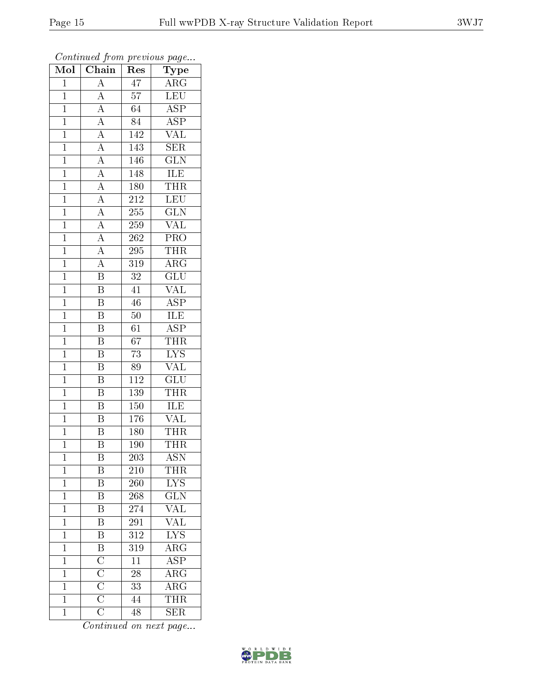| Mol            | $\overline{\text{Chain}}$                          | Res              | Type                    |
|----------------|----------------------------------------------------|------------------|-------------------------|
| $\overline{1}$ | $\overline{A}$                                     | $\overline{47}$  | $\overline{\rm ARG}$    |
| $\overline{1}$ | $\overline{A}$                                     | $\overline{57}$  | $\overline{\text{LEU}}$ |
| $\overline{1}$ | $\frac{\overline{A}}{\overline{A}}$                | $\overline{64}$  | $\overline{\text{ASP}}$ |
| $\mathbf{1}$   |                                                    | 84               | <b>ASP</b>              |
| $\mathbf{1}$   | $\frac{\overline{A}}{\overline{A}}$                | $1\overline{42}$ | $\overline{\text{VAL}}$ |
| $\overline{1}$ |                                                    | 143              | <b>SER</b>              |
| $\overline{1}$ | $\overline{A}$                                     | 146              | $\overline{\text{GLN}}$ |
| $\mathbf{1}$   | $\overline{A}$                                     | 148              | ILE                     |
| $\mathbf{1}$   | $\frac{\overline{A}}{\overline{A}}$                | 180              | <b>THR</b>              |
| $\mathbf{1}$   |                                                    | 212              | LEU                     |
| $\overline{1}$ |                                                    | 255              | $\overline{\text{GLN}}$ |
| $\overline{1}$ | $\overline{A}$                                     | 259              | $\overline{\text{VAL}}$ |
| $\overline{1}$ | $\overline{A}$                                     | 262              | PRO                     |
| $\mathbf{1}$   | $\overline{A}$                                     | 295              | THR                     |
| $\overline{1}$ | $\overline{A}$                                     | 319              | $\overline{\rm ARG}$    |
| $\overline{1}$ | $\overline{\mathbf{B}}$                            | $3\sqrt{2}$      | $\overline{\text{GLU}}$ |
| $\overline{1}$ | $\overline{\mathrm{B}}$                            | 41               | $\overline{\text{VAL}}$ |
| $\mathbf{1}$   | $\overline{\mathbf{B}}$                            | 46               | <b>ASP</b>              |
| $\mathbf{1}$   | $\overline{\mathrm{B}}$                            | $50\,$           | <b>ILE</b>              |
| $\mathbf{1}$   | $\overline{\mathrm{B}}$                            | 61               | $\overline{\text{ASP}}$ |
| $\mathbf{1}$   | $\overline{\mathrm{B}}$                            | $\overline{67}$  | <b>THR</b>              |
| $\overline{1}$ | $\overline{\mathrm{B}}$                            | $\overline{73}$  | $\overline{\text{LYS}}$ |
| $\mathbf{1}$   | $\, {\bf B}$                                       | 89               | VAL                     |
| $\mathbf{1}$   | $\overline{\mathrm{B}}$                            | $\overline{112}$ | $\overline{{\rm GLU}}$  |
| $\mathbf{1}$   | $\overline{\mathbf{B}}$                            | 139              | <b>THR</b>              |
| $\overline{1}$ | $\overline{\text{B}}$                              | 150              | $\overline{\text{ILE}}$ |
| $\overline{1}$ | $\overline{\mathrm{B}}$                            | 176              | <u>VAL</u>              |
| $\mathbf{1}$   | $\overline{\mathrm{B}}$                            | 180              | <b>THR</b>              |
| $\mathbf 1$    | $\overline{\mathrm{B}}$                            | 190              | <b>THR</b>              |
| $\mathbf{1}$   | B                                                  | 203              | <b>ASN</b>              |
| $\mathbf{1}$   | Β                                                  | 210              | <b>THR</b>              |
| $\mathbf{1}$   | $\overline{\mathrm{B}}$                            | <b>260</b>       | <b>LYS</b>              |
| $\mathbf{1}$   | $\overline{\text{B}}$                              | 268              | $\overline{\text{GLN}}$ |
| $\mathbf 1$    | $\overline{\mathrm{B}}$                            | $27\overline{4}$ | $\overline{\text{VAL}}$ |
| $\mathbf{1}$   | $\overline{\mathrm{B}}$                            | 291              | <b>VAL</b>              |
| $\mathbf 1$    | $\overline{\mathrm{B}}$                            | $31\overline{2}$ | $\overline{\text{LYS}}$ |
| $\mathbf{1}$   | $\overline{\mathbf{B}}$                            | 319              | $\overline{\rm ARG}$    |
| $\mathbf{1}$   | $\frac{\overline{\text{C}}}{\overline{\text{C}}}}$ | 11               | $\overline{\text{ASP}}$ |
| $\mathbf{1}$   |                                                    | 28               | $\overline{\rm ARG}$    |
| $\mathbf{1}$   |                                                    | 33               | $\overline{\text{ARG}}$ |
| $\overline{1}$ |                                                    | 44               | <b>THR</b>              |
| $\mathbf{1}$   | $\overline{\text{C}}$                              | 48               | <b>SER</b>              |

Continued from previous page...

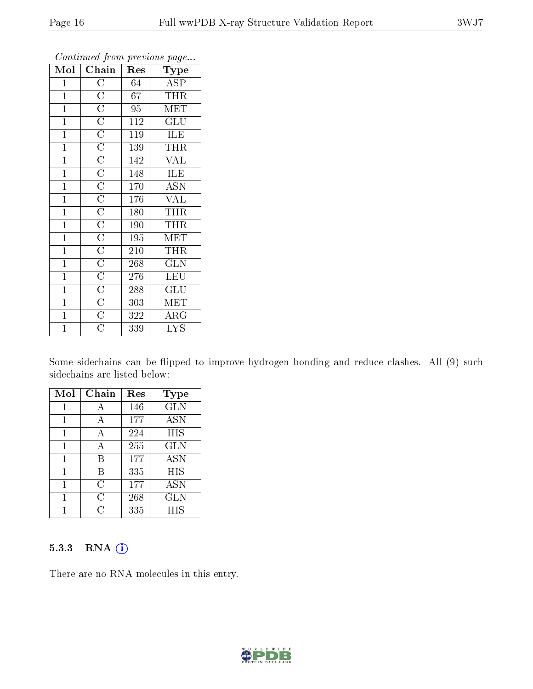| $\overline{\text{Mol}}$ | $\boldsymbol{\omega}$<br>Chain | Res | $\mathbf{r}$<br>$\overline{\phantom{a}}$<br>Type |
|-------------------------|--------------------------------|-----|--------------------------------------------------|
| $\mathbf{1}$            |                                | 64  | $\overline{ASP}$                                 |
| $\mathbf{1}$            |                                | 67  | <b>THR</b>                                       |
| $\mathbf{1}$            |                                | 95  | $\overline{\text{MET}}$                          |
| $\mathbf{1}$            |                                | 112 | GLU                                              |
| $\overline{1}$          |                                | 119 | <b>ILE</b>                                       |
| $\mathbf{1}$            |                                | 139 | <b>THR</b>                                       |
| $\mathbf{1}$            |                                | 142 | <b>VAL</b>                                       |
| $\mathbf{1}$            |                                | 148 | ILE                                              |
| $\overline{1}$          |                                | 170 | $\overline{A}$ SN                                |
| $\overline{1}$          |                                | 176 | $\overline{\text{VAL}}$                          |
| $\overline{1}$          |                                | 180 | THR                                              |
| $\overline{1}$          |                                | 190 | THR                                              |
| $\mathbf{1}$            |                                | 195 | <b>MET</b>                                       |
| $\overline{1}$          |                                | 210 | <b>THR</b>                                       |
| $\overline{1}$          |                                | 268 | $\overline{\text{GLN}}$                          |
| $\overline{1}$          |                                | 276 | <b>LEU</b>                                       |
| $\mathbf{1}$            |                                | 288 | GLU                                              |
| $\overline{1}$          |                                | 303 | MET                                              |
| $\mathbf{1}$            |                                | 322 | $\rm{ARG}$                                       |
| $\overline{1}$          | $\overline{\rm C}$             | 339 | $\overline{\mathrm{LYS}}$                        |

Continued from previous page...

Some sidechains can be flipped to improve hydrogen bonding and reduce clashes. All (9) such sidechains are listed below:

| Mol | Chain | Res | Type       |
|-----|-------|-----|------------|
| 1   | A     | 146 | <b>GLN</b> |
| 1   | А     | 177 | <b>ASN</b> |
| 1   | A     | 224 | <b>HIS</b> |
| 1   | А     | 255 | <b>GLN</b> |
| 1   | В     | 177 | <b>ASN</b> |
| 1   | В     | 335 | <b>HIS</b> |
| 1   | С     | 177 | <b>ASN</b> |
| 1   | С     | 268 | <b>GLN</b> |
|     | U.    | 335 | HIS        |

#### 5.3.3 RNA (1)

There are no RNA molecules in this entry.

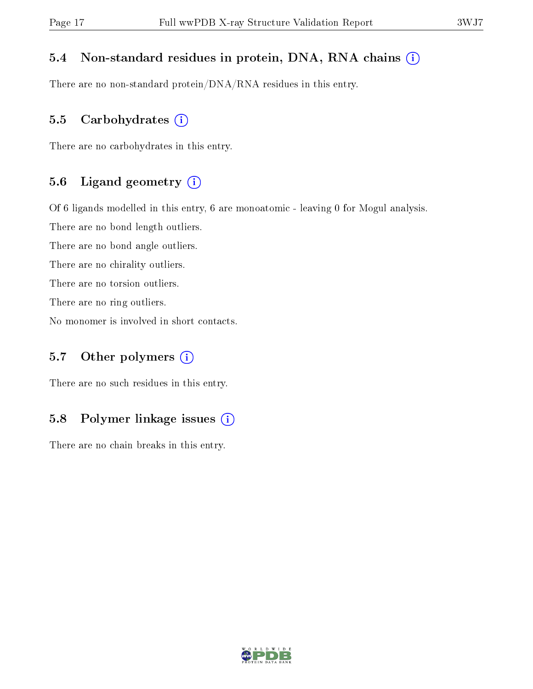#### 5.4 Non-standard residues in protein, DNA, RNA chains (i)

There are no non-standard protein/DNA/RNA residues in this entry.

#### 5.5 Carbohydrates  $(i)$

There are no carbohydrates in this entry.

#### 5.6 Ligand geometry (i)

Of 6 ligands modelled in this entry, 6 are monoatomic - leaving 0 for Mogul analysis.

There are no bond length outliers.

There are no bond angle outliers.

There are no chirality outliers.

There are no torsion outliers.

There are no ring outliers.

No monomer is involved in short contacts.

#### 5.7 [O](https://www.wwpdb.org/validation/2017/XrayValidationReportHelp#nonstandard_residues_and_ligands)ther polymers  $(i)$

There are no such residues in this entry.

#### 5.8 Polymer linkage issues  $(i)$

There are no chain breaks in this entry.

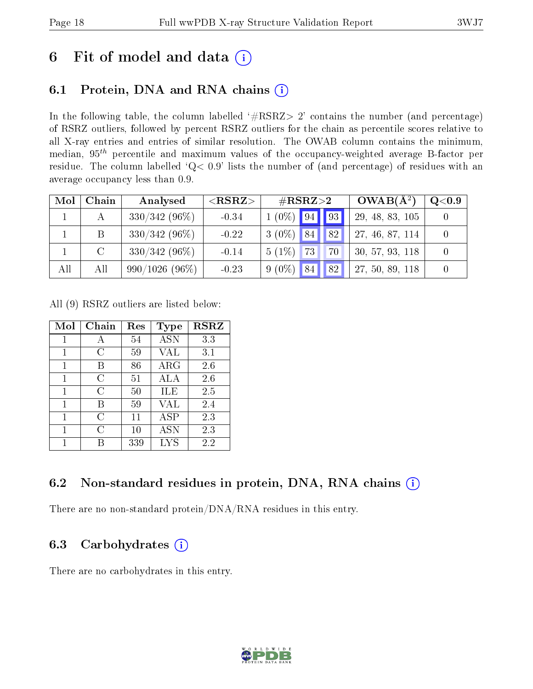## 6 Fit of model and data  $(i)$

### 6.1 Protein, DNA and RNA chains  $(i)$

In the following table, the column labelled  $#RSRZ> 2'$  contains the number (and percentage) of RSRZ outliers, followed by percent RSRZ outliers for the chain as percentile scores relative to all X-ray entries and entries of similar resolution. The OWAB column contains the minimum, median,  $95<sup>th</sup>$  percentile and maximum values of the occupancy-weighted average B-factor per residue. The column labelled ' $Q< 0.9$ ' lists the number of (and percentage) of residues with an average occupancy less than 0.9.

| Mol | Chain         | Analysed         | ${ <\hspace{-1.5pt}{\mathrm{RSRZ}} \hspace{-1.5pt}>}$ | $\rm \#RSRZ{>}2$                  | $OWAB(A^2)$     | $Q<$ 0.9 |
|-----|---------------|------------------|-------------------------------------------------------|-----------------------------------|-----------------|----------|
|     |               | $330/342(96\%)$  | $-0.34$                                               | $1(0\%)$ 94 93                    | 29, 48, 83, 105 |          |
|     | B             | $330/342(96\%)$  | $-0.22$                                               | $3(0\%)$<br>84<br> 82             | 27, 46, 87, 114 |          |
|     | $\mathcal{C}$ | $330/342(96\%)$  | $-0.14$                                               | $5(1\%)$<br>73 <sup>1</sup><br>70 | 30, 57, 93, 118 |          |
| All | All           | $990/1026(96\%)$ | $-0.23$                                               | 82 <br>$9(0\%)$<br>84             | 27, 50, 89, 118 |          |

All (9) RSRZ outliers are listed below:

| Mol | ${\rm Chain}$ | Res<br>Type |             | <b>RSRZ</b> |
|-----|---------------|-------------|-------------|-------------|
| 1   | А             | 54          | <b>ASN</b>  | 3.3         |
|     | C             | 59          | VAL         | 3.1         |
| 1   | В             | 86          | $\rm{ARG}$  | 2.6         |
| 1   | С             | 51          | ALA         | 2.6         |
| 1   | C             | 50          | ILE         | 2.5         |
| 1   | R             | 59          | VAL         | 2.4         |
| 1   | C             | 11          | ${\rm ASP}$ | 2.3         |
| 1   | С             | $10\,$      | <b>ASN</b>  | 2.3         |
|     |               | 339         | <b>LYS</b>  | 2.2         |

#### 6.2 Non-standard residues in protein, DNA, RNA chains  $(i)$

There are no non-standard protein/DNA/RNA residues in this entry.

#### 6.3 Carbohydrates  $(i)$

There are no carbohydrates in this entry.